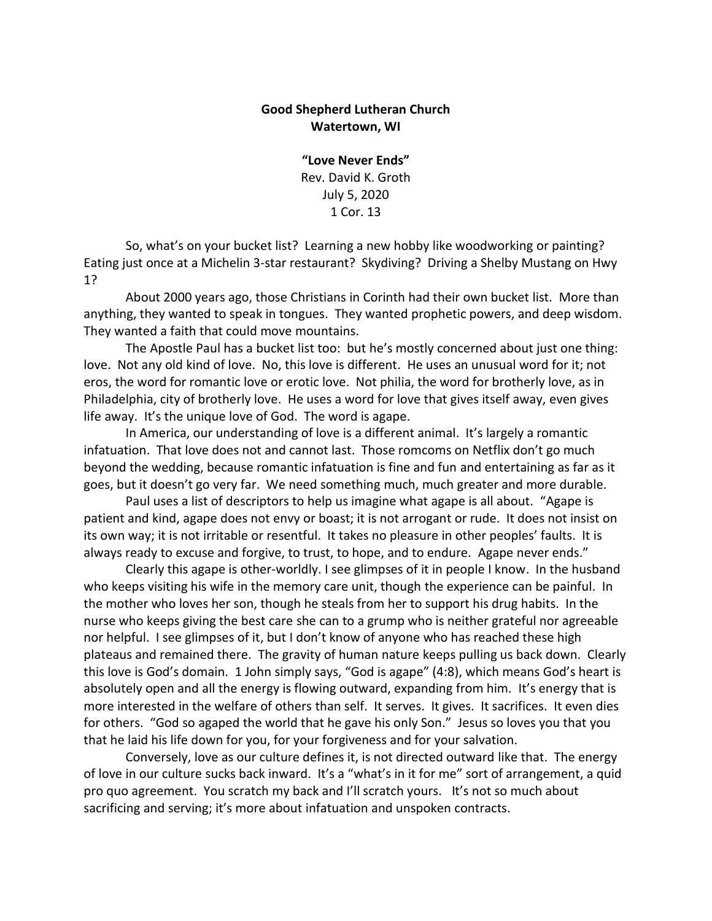## **Good Shepherd Lutheran Church Watertown, WI**

**"Love Never Ends"** Rev. David K. Groth July 5, 2020 1 Cor. 13

So, what's on your bucket list? Learning a new hobby like woodworking or painting? Eating just once at a Michelin 3-star restaurant? Skydiving? Driving a Shelby Mustang on Hwy 1?

About 2000 years ago, those Christians in Corinth had their own bucket list. More than anything, they wanted to speak in tongues. They wanted prophetic powers, and deep wisdom. They wanted a faith that could move mountains.

The Apostle Paul has a bucket list too: but he's mostly concerned about just one thing: love. Not any old kind of love. No, this love is different. He uses an unusual word for it; not eros, the word for romantic love or erotic love. Not philia, the word for brotherly love, as in Philadelphia, city of brotherly love. He uses a word for love that gives itself away, even gives life away. It's the unique love of God. The word is agape.

In America, our understanding of love is a different animal. It's largely a romantic infatuation. That love does not and cannot last. Those romcoms on Netflix don't go much beyond the wedding, because romantic infatuation is fine and fun and entertaining as far as it goes, but it doesn't go very far. We need something much, much greater and more durable.

Paul uses a list of descriptors to help us imagine what agape is all about. "Agape is patient and kind, agape does not envy or boast; it is not arrogant or rude. It does not insist on its own way; it is not irritable or resentful. It takes no pleasure in other peoples' faults. It is always ready to excuse and forgive, to trust, to hope, and to endure. Agape never ends."

Clearly this agape is other-worldly. I see glimpses of it in people I know. In the husband who keeps visiting his wife in the memory care unit, though the experience can be painful. In the mother who loves her son, though he steals from her to support his drug habits. In the nurse who keeps giving the best care she can to a grump who is neither grateful nor agreeable nor helpful. I see glimpses of it, but I don't know of anyone who has reached these high plateaus and remained there. The gravity of human nature keeps pulling us back down. Clearly this love is God's domain. 1 John simply says, "God is agape" (4:8), which means God's heart is absolutely open and all the energy is flowing outward, expanding from him. It's energy that is more interested in the welfare of others than self. It serves. It gives. It sacrifices. It even dies for others. "God so agaped the world that he gave his only Son." Jesus so loves you that you that he laid his life down for you, for your forgiveness and for your salvation.

Conversely, love as our culture defines it, is not directed outward like that. The energy of love in our culture sucks back inward. It's a "what's in it for me" sort of arrangement, a quid pro quo agreement. You scratch my back and I'll scratch yours. It's not so much about sacrificing and serving; it's more about infatuation and unspoken contracts.